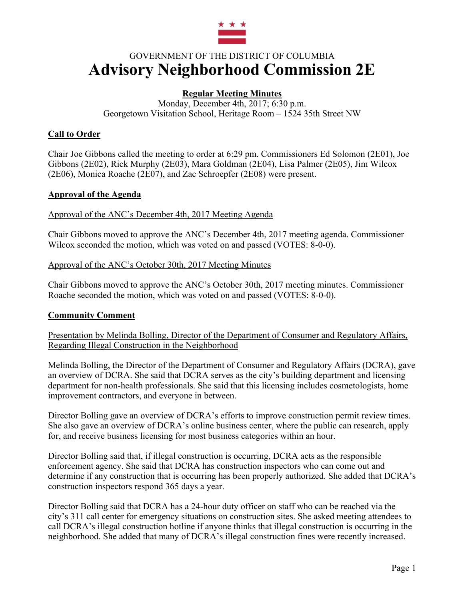

# GOVERNMENT OF THE DISTRICT OF COLUMBIA **Advisory Neighborhood Commission 2E**

# **Regular Meeting Minutes**

Monday, December 4th, 2017; 6:30 p.m. Georgetown Visitation School, Heritage Room – 1524 35th Street NW

# **Call to Order**

Chair Joe Gibbons called the meeting to order at 6:29 pm. Commissioners Ed Solomon (2E01), Joe Gibbons (2E02), Rick Murphy (2E03), Mara Goldman (2E04), Lisa Palmer (2E05), Jim Wilcox (2E06), Monica Roache (2E07), and Zac Schroepfer (2E08) were present.

## **Approval of the Agenda**

Approval of the ANC's December 4th, 2017 Meeting Agenda

Chair Gibbons moved to approve the ANC's December 4th, 2017 meeting agenda. Commissioner Wilcox seconded the motion, which was voted on and passed (VOTES: 8-0-0).

Approval of the ANC's October 30th, 2017 Meeting Minutes

Chair Gibbons moved to approve the ANC's October 30th, 2017 meeting minutes. Commissioner Roache seconded the motion, which was voted on and passed (VOTES: 8-0-0).

# **Community Comment**

Presentation by Melinda Bolling, Director of the Department of Consumer and Regulatory Affairs, Regarding Illegal Construction in the Neighborhood

Melinda Bolling, the Director of the Department of Consumer and Regulatory Affairs (DCRA), gave an overview of DCRA. She said that DCRA serves as the city's building department and licensing department for non-health professionals. She said that this licensing includes cosmetologists, home improvement contractors, and everyone in between.

Director Bolling gave an overview of DCRA's efforts to improve construction permit review times. She also gave an overview of DCRA's online business center, where the public can research, apply for, and receive business licensing for most business categories within an hour.

Director Bolling said that, if illegal construction is occurring, DCRA acts as the responsible enforcement agency. She said that DCRA has construction inspectors who can come out and determine if any construction that is occurring has been properly authorized. She added that DCRA's construction inspectors respond 365 days a year.

Director Bolling said that DCRA has a 24-hour duty officer on staff who can be reached via the city's 311 call center for emergency situations on construction sites. She asked meeting attendees to call DCRA's illegal construction hotline if anyone thinks that illegal construction is occurring in the neighborhood. She added that many of DCRA's illegal construction fines were recently increased.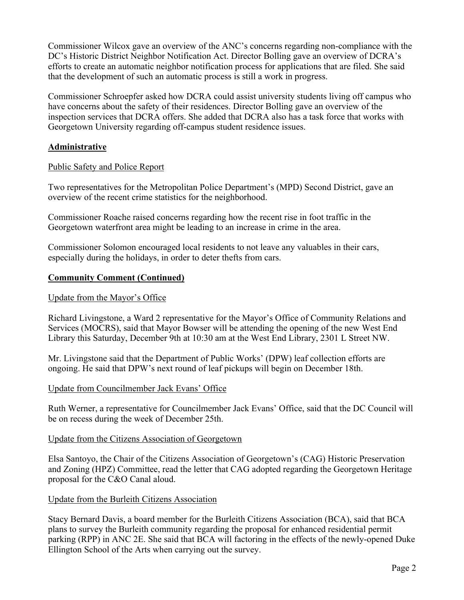Commissioner Wilcox gave an overview of the ANC's concerns regarding non-compliance with the DC's Historic District Neighbor Notification Act. Director Bolling gave an overview of DCRA's efforts to create an automatic neighbor notification process for applications that are filed. She said that the development of such an automatic process is still a work in progress.

Commissioner Schroepfer asked how DCRA could assist university students living off campus who have concerns about the safety of their residences. Director Bolling gave an overview of the inspection services that DCRA offers. She added that DCRA also has a task force that works with Georgetown University regarding off-campus student residence issues.

# **Administrative**

# Public Safety and Police Report

Two representatives for the Metropolitan Police Department's (MPD) Second District, gave an overview of the recent crime statistics for the neighborhood.

Commissioner Roache raised concerns regarding how the recent rise in foot traffic in the Georgetown waterfront area might be leading to an increase in crime in the area.

Commissioner Solomon encouraged local residents to not leave any valuables in their cars, especially during the holidays, in order to deter thefts from cars.

# **Community Comment (Continued)**

# Update from the Mayor's Office

Richard Livingstone, a Ward 2 representative for the Mayor's Office of Community Relations and Services (MOCRS), said that Mayor Bowser will be attending the opening of the new West End Library this Saturday, December 9th at 10:30 am at the West End Library, 2301 L Street NW.

Mr. Livingstone said that the Department of Public Works' (DPW) leaf collection efforts are ongoing. He said that DPW's next round of leaf pickups will begin on December 18th.

# Update from Councilmember Jack Evans' Office

Ruth Werner, a representative for Councilmember Jack Evans' Office, said that the DC Council will be on recess during the week of December 25th.

# Update from the Citizens Association of Georgetown

Elsa Santoyo, the Chair of the Citizens Association of Georgetown's (CAG) Historic Preservation and Zoning (HPZ) Committee, read the letter that CAG adopted regarding the Georgetown Heritage proposal for the C&O Canal aloud.

# Update from the Burleith Citizens Association

Stacy Bernard Davis, a board member for the Burleith Citizens Association (BCA), said that BCA plans to survey the Burleith community regarding the proposal for enhanced residential permit parking (RPP) in ANC 2E. She said that BCA will factoring in the effects of the newly-opened Duke Ellington School of the Arts when carrying out the survey.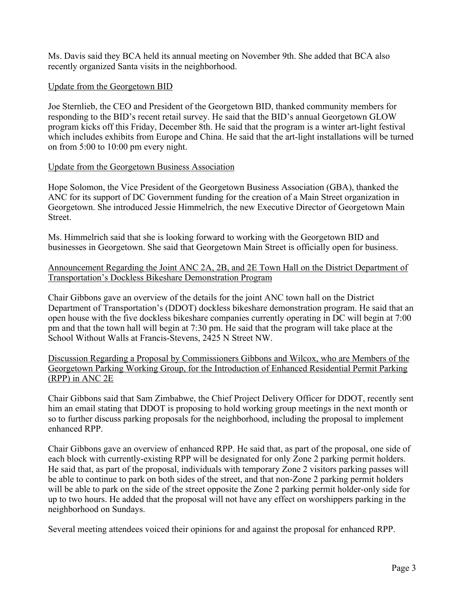Ms. Davis said they BCA held its annual meeting on November 9th. She added that BCA also recently organized Santa visits in the neighborhood.

## Update from the Georgetown BID

Joe Sternlieb, the CEO and President of the Georgetown BID, thanked community members for responding to the BID's recent retail survey. He said that the BID's annual Georgetown GLOW program kicks off this Friday, December 8th. He said that the program is a winter art-light festival which includes exhibits from Europe and China. He said that the art-light installations will be turned on from 5:00 to 10:00 pm every night.

## Update from the Georgetown Business Association

Hope Solomon, the Vice President of the Georgetown Business Association (GBA), thanked the ANC for its support of DC Government funding for the creation of a Main Street organization in Georgetown. She introduced Jessie Himmelrich, the new Executive Director of Georgetown Main Street.

Ms. Himmelrich said that she is looking forward to working with the Georgetown BID and businesses in Georgetown. She said that Georgetown Main Street is officially open for business.

## Announcement Regarding the Joint ANC 2A, 2B, and 2E Town Hall on the District Department of Transportation's Dockless Bikeshare Demonstration Program

Chair Gibbons gave an overview of the details for the joint ANC town hall on the District Department of Transportation's (DDOT) dockless bikeshare demonstration program. He said that an open house with the five dockless bikeshare companies currently operating in DC will begin at 7:00 pm and that the town hall will begin at 7:30 pm. He said that the program will take place at the School Without Walls at Francis-Stevens, 2425 N Street NW.

Discussion Regarding a Proposal by Commissioners Gibbons and Wilcox, who are Members of the Georgetown Parking Working Group, for the Introduction of Enhanced Residential Permit Parking (RPP) in ANC 2E

Chair Gibbons said that Sam Zimbabwe, the Chief Project Delivery Officer for DDOT, recently sent him an email stating that DDOT is proposing to hold working group meetings in the next month or so to further discuss parking proposals for the neighborhood, including the proposal to implement enhanced RPP.

Chair Gibbons gave an overview of enhanced RPP. He said that, as part of the proposal, one side of each block with currently-existing RPP will be designated for only Zone 2 parking permit holders. He said that, as part of the proposal, individuals with temporary Zone 2 visitors parking passes will be able to continue to park on both sides of the street, and that non-Zone 2 parking permit holders will be able to park on the side of the street opposite the Zone 2 parking permit holder-only side for up to two hours. He added that the proposal will not have any effect on worshippers parking in the neighborhood on Sundays.

Several meeting attendees voiced their opinions for and against the proposal for enhanced RPP.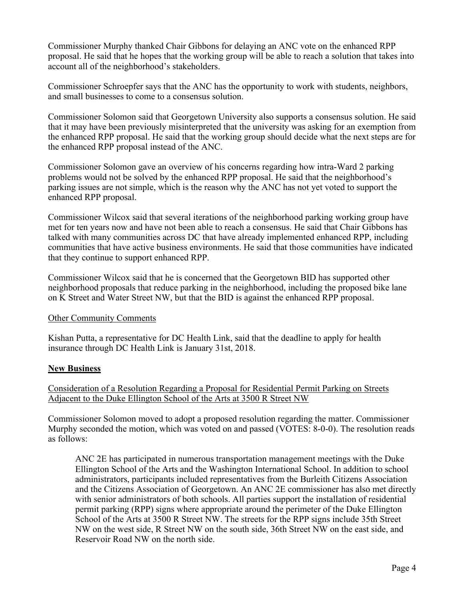Commissioner Murphy thanked Chair Gibbons for delaying an ANC vote on the enhanced RPP proposal. He said that he hopes that the working group will be able to reach a solution that takes into account all of the neighborhood's stakeholders.

Commissioner Schroepfer says that the ANC has the opportunity to work with students, neighbors, and small businesses to come to a consensus solution.

Commissioner Solomon said that Georgetown University also supports a consensus solution. He said that it may have been previously misinterpreted that the university was asking for an exemption from the enhanced RPP proposal. He said that the working group should decide what the next steps are for the enhanced RPP proposal instead of the ANC.

Commissioner Solomon gave an overview of his concerns regarding how intra-Ward 2 parking problems would not be solved by the enhanced RPP proposal. He said that the neighborhood's parking issues are not simple, which is the reason why the ANC has not yet voted to support the enhanced RPP proposal.

Commissioner Wilcox said that several iterations of the neighborhood parking working group have met for ten years now and have not been able to reach a consensus. He said that Chair Gibbons has talked with many communities across DC that have already implemented enhanced RPP, including communities that have active business environments. He said that those communities have indicated that they continue to support enhanced RPP.

Commissioner Wilcox said that he is concerned that the Georgetown BID has supported other neighborhood proposals that reduce parking in the neighborhood, including the proposed bike lane on K Street and Water Street NW, but that the BID is against the enhanced RPP proposal.

#### Other Community Comments

Kishan Putta, a representative for DC Health Link, said that the deadline to apply for health insurance through DC Health Link is January 31st, 2018.

# **New Business**

Consideration of a Resolution Regarding a Proposal for Residential Permit Parking on Streets Adjacent to the Duke Ellington School of the Arts at 3500 R Street NW

Commissioner Solomon moved to adopt a proposed resolution regarding the matter. Commissioner Murphy seconded the motion, which was voted on and passed (VOTES: 8-0-0). The resolution reads as follows:

ANC 2E has participated in numerous transportation management meetings with the Duke Ellington School of the Arts and the Washington International School. In addition to school administrators, participants included representatives from the Burleith Citizens Association and the Citizens Association of Georgetown. An ANC 2E commissioner has also met directly with senior administrators of both schools. All parties support the installation of residential permit parking (RPP) signs where appropriate around the perimeter of the Duke Ellington School of the Arts at 3500 R Street NW. The streets for the RPP signs include 35th Street NW on the west side, R Street NW on the south side, 36th Street NW on the east side, and Reservoir Road NW on the north side.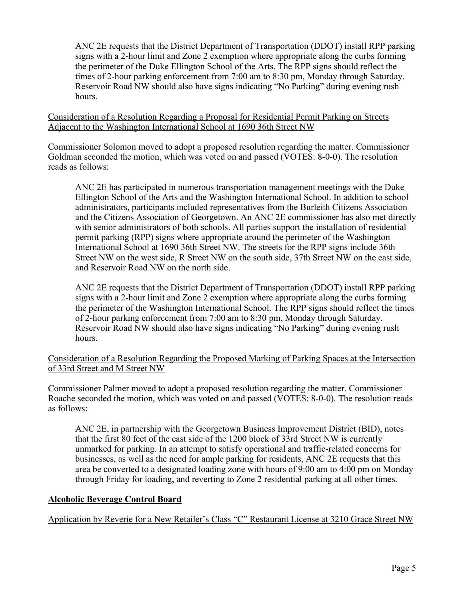ANC 2E requests that the District Department of Transportation (DDOT) install RPP parking signs with a 2-hour limit and Zone 2 exemption where appropriate along the curbs forming the perimeter of the Duke Ellington School of the Arts. The RPP signs should reflect the times of 2-hour parking enforcement from 7:00 am to 8:30 pm, Monday through Saturday. Reservoir Road NW should also have signs indicating "No Parking" during evening rush hours.

Consideration of a Resolution Regarding a Proposal for Residential Permit Parking on Streets Adjacent to the Washington International School at 1690 36th Street NW

Commissioner Solomon moved to adopt a proposed resolution regarding the matter. Commissioner Goldman seconded the motion, which was voted on and passed (VOTES: 8-0-0). The resolution reads as follows:

ANC 2E has participated in numerous transportation management meetings with the Duke Ellington School of the Arts and the Washington International School. In addition to school administrators, participants included representatives from the Burleith Citizens Association and the Citizens Association of Georgetown. An ANC 2E commissioner has also met directly with senior administrators of both schools. All parties support the installation of residential permit parking (RPP) signs where appropriate around the perimeter of the Washington International School at 1690 36th Street NW. The streets for the RPP signs include 36th Street NW on the west side, R Street NW on the south side, 37th Street NW on the east side, and Reservoir Road NW on the north side.

ANC 2E requests that the District Department of Transportation (DDOT) install RPP parking signs with a 2-hour limit and Zone 2 exemption where appropriate along the curbs forming the perimeter of the Washington International School. The RPP signs should reflect the times of 2-hour parking enforcement from 7:00 am to 8:30 pm, Monday through Saturday. Reservoir Road NW should also have signs indicating "No Parking" during evening rush hours.

Consideration of a Resolution Regarding the Proposed Marking of Parking Spaces at the Intersection of 33rd Street and M Street NW

Commissioner Palmer moved to adopt a proposed resolution regarding the matter. Commissioner Roache seconded the motion, which was voted on and passed (VOTES: 8-0-0). The resolution reads as follows:

ANC 2E, in partnership with the Georgetown Business Improvement District (BID), notes that the first 80 feet of the east side of the 1200 block of 33rd Street NW is currently unmarked for parking. In an attempt to satisfy operational and traffic-related concerns for businesses, as well as the need for ample parking for residents, ANC 2E requests that this area be converted to a designated loading zone with hours of 9:00 am to 4:00 pm on Monday through Friday for loading, and reverting to Zone 2 residential parking at all other times.

#### **Alcoholic Beverage Control Board**

Application by Reverie for a New Retailer's Class "C" Restaurant License at 3210 Grace Street NW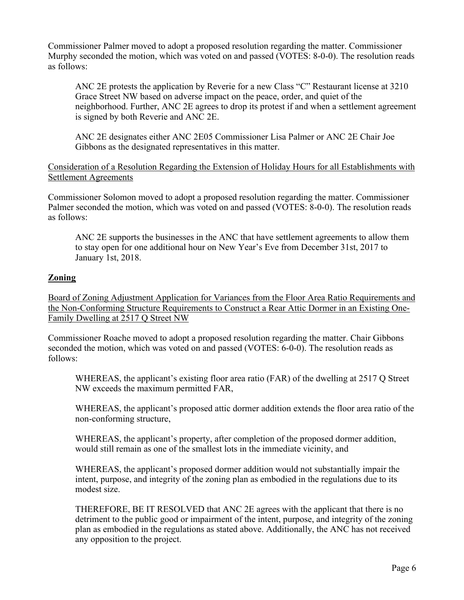Commissioner Palmer moved to adopt a proposed resolution regarding the matter. Commissioner Murphy seconded the motion, which was voted on and passed (VOTES: 8-0-0). The resolution reads as follows:

ANC 2E protests the application by Reverie for a new Class "C" Restaurant license at 3210 Grace Street NW based on adverse impact on the peace, order, and quiet of the neighborhood. Further, ANC 2E agrees to drop its protest if and when a settlement agreement is signed by both Reverie and ANC 2E.

ANC 2E designates either ANC 2E05 Commissioner Lisa Palmer or ANC 2E Chair Joe Gibbons as the designated representatives in this matter.

Consideration of a Resolution Regarding the Extension of Holiday Hours for all Establishments with Settlement Agreements

Commissioner Solomon moved to adopt a proposed resolution regarding the matter. Commissioner Palmer seconded the motion, which was voted on and passed (VOTES: 8-0-0). The resolution reads as follows:

ANC 2E supports the businesses in the ANC that have settlement agreements to allow them to stay open for one additional hour on New Year's Eve from December 31st, 2017 to January 1st, 2018.

## **Zoning**

Board of Zoning Adjustment Application for Variances from the Floor Area Ratio Requirements and the Non-Conforming Structure Requirements to Construct a Rear Attic Dormer in an Existing One-Family Dwelling at 2517 Q Street NW

Commissioner Roache moved to adopt a proposed resolution regarding the matter. Chair Gibbons seconded the motion, which was voted on and passed (VOTES: 6-0-0). The resolution reads as follows:

WHEREAS, the applicant's existing floor area ratio (FAR) of the dwelling at 2517 Q Street NW exceeds the maximum permitted FAR,

WHEREAS, the applicant's proposed attic dormer addition extends the floor area ratio of the non-conforming structure,

WHEREAS, the applicant's property, after completion of the proposed dormer addition, would still remain as one of the smallest lots in the immediate vicinity, and

WHEREAS, the applicant's proposed dormer addition would not substantially impair the intent, purpose, and integrity of the zoning plan as embodied in the regulations due to its modest size.

THEREFORE, BE IT RESOLVED that ANC 2E agrees with the applicant that there is no detriment to the public good or impairment of the intent, purpose, and integrity of the zoning plan as embodied in the regulations as stated above. Additionally, the ANC has not received any opposition to the project.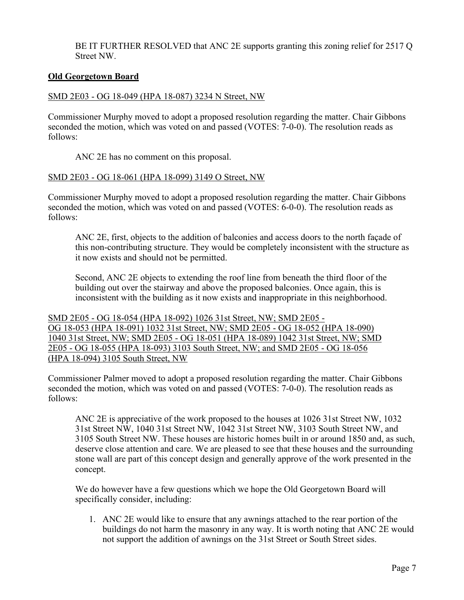BE IT FURTHER RESOLVED that ANC 2E supports granting this zoning relief for 2517 Q Street NW.

#### **Old Georgetown Board**

#### SMD 2E03 - OG 18-049 (HPA 18-087) 3234 N Street, NW

Commissioner Murphy moved to adopt a proposed resolution regarding the matter. Chair Gibbons seconded the motion, which was voted on and passed (VOTES: 7-0-0). The resolution reads as follows:

ANC 2E has no comment on this proposal.

#### SMD 2E03 - OG 18-061 (HPA 18-099) 3149 O Street, NW

Commissioner Murphy moved to adopt a proposed resolution regarding the matter. Chair Gibbons seconded the motion, which was voted on and passed (VOTES: 6-0-0). The resolution reads as follows:

ANC 2E, first, objects to the addition of balconies and access doors to the north façade of this non-contributing structure. They would be completely inconsistent with the structure as it now exists and should not be permitted.

Second, ANC 2E objects to extending the roof line from beneath the third floor of the building out over the stairway and above the proposed balconies. Once again, this is inconsistent with the building as it now exists and inappropriate in this neighborhood.

SMD 2E05 - OG 18-054 (HPA 18-092) 1026 31st Street, NW; SMD 2E05 - OG 18-053 (HPA 18-091) 1032 31st Street, NW; SMD 2E05 - OG 18-052 (HPA 18-090) 1040 31st Street, NW; SMD 2E05 - OG 18-051 (HPA 18-089) 1042 31st Street, NW; SMD 2E05 - OG 18-055 (HPA 18-093) 3103 South Street, NW; and SMD 2E05 - OG 18-056 (HPA 18-094) 3105 South Street, NW

Commissioner Palmer moved to adopt a proposed resolution regarding the matter. Chair Gibbons seconded the motion, which was voted on and passed (VOTES: 7-0-0). The resolution reads as follows:

ANC 2E is appreciative of the work proposed to the houses at 1026 31st Street NW, 1032 31st Street NW, 1040 31st Street NW, 1042 31st Street NW, 3103 South Street NW, and 3105 South Street NW. These houses are historic homes built in or around 1850 and, as such, deserve close attention and care. We are pleased to see that these houses and the surrounding stone wall are part of this concept design and generally approve of the work presented in the concept.

We do however have a few questions which we hope the Old Georgetown Board will specifically consider, including:

1. ANC 2E would like to ensure that any awnings attached to the rear portion of the buildings do not harm the masonry in any way. It is worth noting that ANC 2E would not support the addition of awnings on the 31st Street or South Street sides.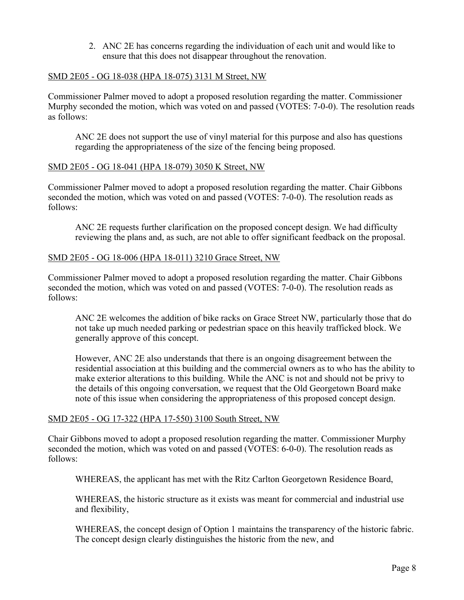2. ANC 2E has concerns regarding the individuation of each unit and would like to ensure that this does not disappear throughout the renovation.

#### SMD 2E05 - OG 18-038 (HPA 18-075) 3131 M Street, NW

Commissioner Palmer moved to adopt a proposed resolution regarding the matter. Commissioner Murphy seconded the motion, which was voted on and passed (VOTES: 7-0-0). The resolution reads as follows:

ANC 2E does not support the use of vinyl material for this purpose and also has questions regarding the appropriateness of the size of the fencing being proposed.

## SMD 2E05 - OG 18-041 (HPA 18-079) 3050 K Street, NW

Commissioner Palmer moved to adopt a proposed resolution regarding the matter. Chair Gibbons seconded the motion, which was voted on and passed (VOTES: 7-0-0). The resolution reads as follows:

ANC 2E requests further clarification on the proposed concept design. We had difficulty reviewing the plans and, as such, are not able to offer significant feedback on the proposal.

## SMD 2E05 - OG 18-006 (HPA 18-011) 3210 Grace Street, NW

Commissioner Palmer moved to adopt a proposed resolution regarding the matter. Chair Gibbons seconded the motion, which was voted on and passed (VOTES: 7-0-0). The resolution reads as follows:

ANC 2E welcomes the addition of bike racks on Grace Street NW, particularly those that do not take up much needed parking or pedestrian space on this heavily trafficked block. We generally approve of this concept.

However, ANC 2E also understands that there is an ongoing disagreement between the residential association at this building and the commercial owners as to who has the ability to make exterior alterations to this building. While the ANC is not and should not be privy to the details of this ongoing conversation, we request that the Old Georgetown Board make note of this issue when considering the appropriateness of this proposed concept design.

#### SMD 2E05 - OG 17-322 (HPA 17-550) 3100 South Street, NW

Chair Gibbons moved to adopt a proposed resolution regarding the matter. Commissioner Murphy seconded the motion, which was voted on and passed (VOTES: 6-0-0). The resolution reads as follows:

WHEREAS, the applicant has met with the Ritz Carlton Georgetown Residence Board,

WHEREAS, the historic structure as it exists was meant for commercial and industrial use and flexibility,

WHEREAS, the concept design of Option 1 maintains the transparency of the historic fabric. The concept design clearly distinguishes the historic from the new, and